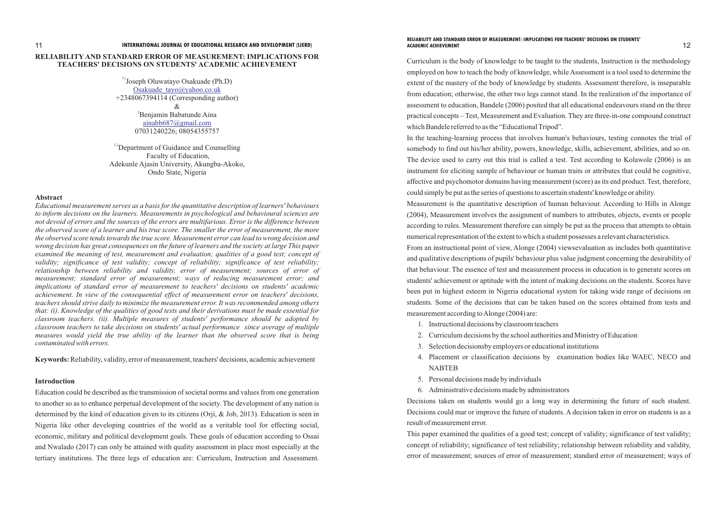## **RELIABILITY AND STANDARD ERROR OF MEASUREMENT: IMPLICATIONS FOR TEACHERS' DECISIONS ON STUDENTS' ACADEMIC ACHIEVEMENT**

<sup>1,2</sup>Department of Guidance and Counselling Faculty of Education, Adekunle Ajasin University, Akungba-Akoko, Ondo State, Nigeria

### **Abstract**

*Educational measurement serves as a basis for the quantitative description of learners' behaviours to inform decisions on the learners. Measurements in psychological and behavioural sciences are not devoid of errors and the sources of the errors are multifarious. Error is the difference between the observed score of a learner and his true score. The smaller the error of measurement, the more the observed score tends towards the true score. Measurement error can lead to wrong decision and wrong decision has great consequences on the future of learners and the society at large This paper examined the meaning of test, measurement and evaluation; qualities of a good test; concept of validity; significance of test validity; concept of reliability; significance of test reliability;*  relationship between reliability and validity, error of measurement; sources of error of *measurement; standard error of measurement; ways of reducing measurement error; and implications of standard error of measurement to teachers' decisions on students' academic achievement. In view of the consequential effect of measurement error on teachers' decisions, teachers should strive daily to minimize the measurement error. It was recommended among others that: (i). Knowledge of the qualities of good tests and their derivations must be made essential for classroom teachers. (ii). Multiple measures of students' performance should be adopted by classroom teachers to take decisions on students' actual performance since average of multiple measures would yield the true ability of the learner than the observed score that is being contaminated with errors.*

\*1Joseph Oluwatayo Osakuade (Ph.D) +2348067394114 (Corresponding author)  $\mathcal{R}$ <sup>2</sup>Benjamin Babatunde Aina 07031240226; 08054355757 [Osakuade\\_tayo@yahoo.co.uk](mailto:Osakuade_tayo@yahoo.co.uk) [ainabb687@gmail.com](mailto:ainabb687@gmail.com)

**Keywords:** Reliability, validity, error of measurement, teachers' decisions, academic achievement

### **Introduction**

Education could be described as the transmission of societal norms and values from one generation to another so as to enhance perpetual development of the society. The development of any nation is determined by the kind of education given to its citizens (Orji, & Job, 2013). Education is seen in Nigeria like other developing countries of the world as a veritable tool for effecting social, economic, military and political development goals. These goals of education according to Ossai and Nwalado (2017) can only be attained with quality assessment in place most especially at the tertiary institutions. The three legs of education are: Curriculum, Instruction and Assessment.

Curriculum is the body of knowledge to be taught to the students, Instruction is the methodology employed on how to teach the body of knowledge, while Assessment is a tool used to determine the extent of the mastery of the body of knowledge by students. Assessment therefore, is inseparable from education; otherwise, the other two legs cannot stand. In the realization of the importance of assessment to education, Bandele (2006) posited that all educational endeavours stand on the three practical concepts – Test, Measurement and Evaluation. They are three-in-one compound construct which Bandele referred to as the "Educational Tripod". In the teaching-learning process that involves human's behaviours, testing connotes the trial of somebody to find out his/her ability, powers, knowledge, skills, achievement, abilities, and so on. The device used to carry out this trial is called a test. Test according to Kolawole (2006) is an instrument for eliciting sample of behaviour or human traits or attributes that could be cognitive, affective and psychomotor domains having measurement (score) as its end product. Test, therefore, could simply be put as the series of questions to ascertain students' knowledge or ability. Measurement is the quantitative description of human behaviour. According to Hills in Alonge (2004), Measurement involves the assignment of numbers to attributes, objects, events or people according to rules. Measurement therefore can simply be put as the process that attempts to obtain numerical representation of the extent to which a student possesses a relevant characteristics. From an instructional point of view, Alonge (2004) viewsevaluation as includes both quantitative and qualitative descriptions of pupils' behaviour plus value judgment concerning the desirability of that behaviour. The essence of test and measurement process in education is to generate scores on students' achievement or aptitude with the intent of making decisions on the students. Scores have been put in highest esteem in Nigeria educational system for taking wide range of decisions on students. Some of the decisions that can be taken based on the scores obtained from tests and measurement according to Alonge (2004) are:

- 1. Instructional decisions by classroom teachers
- 2. Curriculum decisions by the school authorities and Ministry of Education
- 3. Selection decisionsby employers or educational institutions
- NABTEB
- 5. Personal decisions made by individuals

4. Placement or classification decisions by examination bodies like WAEC, NECO and

6. Administrative decisions made by administrators

Decisions taken on students would go a long way in determining the future of such student. Decisions could mar or improve the future of students. A decision taken in error on students is as a result of measurement error.

This paper examined the qualities of a good test; concept of validity; significance of test validity; concept of reliability; significance of test reliability; relationship between reliability and validity, error of measurement; sources of error of measurement; standard error of measurement; ways of

# **RELIABILITY AND STANDARD ERROR OF MEASUREMENT: IMPLICATIONS FOR TEACHERS' DECISIONS ON STUDENTS'**

### 11 12 **INTERNATIONAL JOURNAL OF EDUCATIONAL RESEARCH AND DEVELOPMENT (IJERD) ACADEMIC ACHIEVEMENT**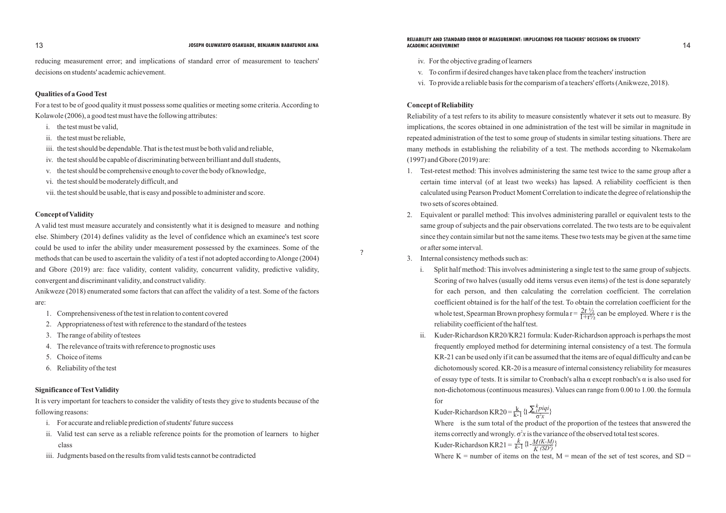reducing measurement error; and implications of standard error of measurement to teachers' decisions on students' academic achievement.

## **Qualities of a Good Test**

For a test to be of good quality it must possess some qualities or meeting some criteria. According to Kolawole (2006), a good test must have the following attributes:

- i. the test must be valid,
- ii. the test must be reliable,
- iii. the test should be dependable. That is the test must be both valid and reliable,
- iv. the test should be capable of discriminating between brilliant and dull students,
- v. the test should be comprehensive enough to cover the body of knowledge,
- vi. the test should be moderately difficult, and
- vii. the test should be usable, that is easy and possible to administer and score.

### **Concept of Validity**

A valid test must measure accurately and consistently what it is designed to measure and nothing else. Shimbery (2014) defines validity as the level of confidence which an examinee's test score could be used to infer the ability under measurement possessed by the examinees. Some of the methods that can be used to ascertain the validity of a test if not adopted according to Alonge (2004) and Gbore (2019) are: face validity, content validity, concurrent validity, predictive validity, convergent and discriminant validity, and construct validity.

### **13** JOSEPH OLUWATAYO OSAKUADE, BENJAMIN BABATUNDE AINA **ACADEMIC ACHIEVEMENT** ACADEMIC ACHIEVEMENT **RELIABILITY AND STANDARD ERROR OF MEASUREMENT: IMPLICATIONS FOR TEACHERS' DECISIONS ON STUDENTS' ACADEMIC ACHIEVEMENT**

Anikweze (2018) enumerated some factors that can affect the validity of a test. Some of the factors are:

- 1. Comprehensiveness of the test in relation to content covered
- 2. Appropriateness of test with reference to the standard of the testees
- 3. The range of ability of testees
- 4. The relevance of traits with reference to prognostic uses
- 5. Choice of items
- 6. Reliability of the test

### **Significance of Test Validity**

It is very important for teachers to consider the validity of tests they give to students because of the following reasons:

Scoring of two halves (usually odd items versus even items) of the test is done separately for each person, and then calculating the correlation coefficient. The correlation coefficient obtained is for the half of the test. To obtain the correlation coefficient for the whole test, Spearman Brown prophesy formula  $r = \frac{2r}{1+r}$  can be employed. Where r is the  $1 + r\frac{1}{2}$ 

- i. For accurate and reliable prediction of students' future success
- ii. Valid test can serve as a reliable reference points for the promotion of learners to higher class
- iii. Judgments based on the results from valid tests cannot be contradicted

?

- iv. For the objective grading of learners
- v. To confirm if desired changes have taken place from the teachers' instruction
- vi. To provide a reliable basis for the comparism of a teachers' efforts (Anikweze, 2018).

Kuder-Richardson KR20 =  $\frac{k}{k-1} \{1 - \frac{\hbar p i q i}{\sigma^2 x}\}$ items correctly and wrongly.  $\sigma^2 x$  is the variance of the observed total test scores. Kuder-Richardson KR21 =  $\frac{k}{k-1} \left\{1 - \frac{M(K-M)}{K(SD^2)}\right\}$ *piqi <sup>k</sup> i*

## **Concept of Reliability**

Reliability of a test refers to its ability to measure consistently whatever it sets out to measure. By implications, the scores obtained in one administration of the test will be similar in magnitude in repeated administration of the test to some group of students in similar testing situations. There are many methods in establishing the reliability of a test. The methods according to Nkemakolam (1997) and Gbore (2019) are:

certain time interval (of at least two weeks) has lapsed. A reliability coefficient is then calculated using Pearson Product Moment Correlation to indicate the degree of relationship the

- 1. Test-retest method: This involves administering the same test twice to the same group after a two sets of scores obtained.
- 2. Equivalent or parallel method: This involves administering parallel or equivalent tests to the or after some interval.
- 3. Internal consistency methods such as:

same group of subjects and the pair observations correlated. The two tests are to be equivalent since they contain similar but not the same items. These two tests may be given at the same time

- i. Split half method: This involves administering a single test to the same group of subjects. reliability coefficient of the half test.
- for

ii. Kuder-Richardson KR20/KR21 formula: Kuder-Richardson approach is perhaps the most frequently employed method for determining internal consistency of a test. The formula KR-21 can be used only if it can be assumed that the items are of equal difficulty and can be dichotomously scored. KR-20 is a measure of internal consistency reliability for measures of essay type of tests. It is similar to Cronbach's alha  $\alpha$  except ronbach's  $\alpha$  is also used for non-dichotomous (continuous measures). Values can range from 0.00 to 1.00. the formula

Where is the sum total of the product of the proportion of the testees that answered the

Where  $K =$  number of items on the test,  $M =$  mean of the set of test scores, and SD =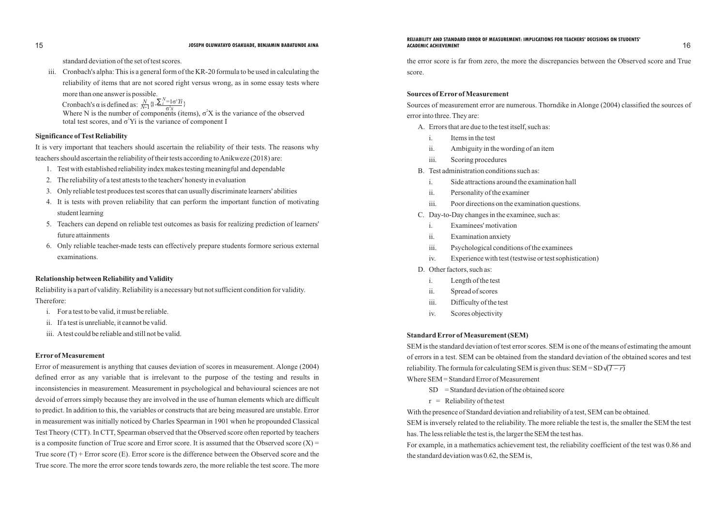## **Significance of Test Reliability**

It is very important that teachers should ascertain the reliability of their tests. The reasons why teachers should ascertain the reliability of their tests according to Anikweze (2018) are:

- 1. Test with established reliability index makes testing meaningful and dependable
- 2. The reliability of a test attests to the teachers' honesty in evaluation
- 3. Only reliable test produces test scores that can usually discriminate learners' abilities
- 4. It is tests with proven reliability that can perform the important function of motivating student learning
- 5. Teachers can depend on reliable test outcomes as basis for realizing prediction of learners' future attainments
- 6. Only reliable teacher-made tests can effectively prepare students formore serious external examinations.

### **Relationship between Reliability and Validity**

Reliability is a part of validity. Reliability is a necessary but not sufficient condition for validity. Therefore:

- i. For a test to be valid, it must be reliable.
- ii. If a test is unreliable, it cannot be valid.
- iii. Atest could be reliable and still not be valid.

### **Error of Measurement**

### **16** JOSEPH OLUWATAYO OSAKUADE, BENJAMIN BABATUNDE AINA **ACADEMIC ACHIEVEMENT** ACADEMIC ACHIEVEMENT **RELIABILITY AND STANDARD ERROR OF MEASUREMENT: IMPLICATIONS FOR TEACHERS' DECISIONS ON STUDENTS' ACADEMIC ACHIEVEMENT**

Error of measurement is anything that causes deviation of scores in measurement. Alonge (2004) defined error as any variable that is irrelevant to the purpose of the testing and results in inconsistencies in measurement. Measurement in psychological and behavioural sciences are not devoid of errors simply because they are involved in the use of human elements which are difficult to predict. In addition to this, the variables or constructs that are being measured are unstable. Error in measurement was initially noticed by Charles Spearman in 1901 when he propounded Classical Test Theory (CTT). In CTT, Spearman observed that the Observed score often reported by teachers is a composite function of True score and Error score. It is assumed that the Observed score  $(X)$  = True score  $(T)$  + Error score (E). Error score is the difference between the Observed score and the True score. The more the error score tends towards zero, the more reliable the test score. The more

reliability. The formula for calculating SEM is given thus:  $SEM = SD$   $(I - r)$ Where SEM = Standard Error of Measurement

- $SD = Standard deviation of the obtained score$
- $r =$  Reliability of the test

standard deviation of the set of test scores.

iii. Cronbach's alpha: This is a general form of the KR-20 formula to be used in calculating the reliability of items that are not scored right versus wrong, as in some essay tests where

more than one answer is possible.

Cronbach's  $\alpha$  is defined as: Where N is the number of components (items),  $\sigma^2 X$  is the variance of the observed total test scores, and  $\sigma^2$ Yi is the variance of component I  $\frac{N}{N-1} \{1 - \frac{N-1\sigma^2 Y i}{\sigma^2 x}\}$ 

the error score is far from zero, the more the discrepancies between the Observed score and True score.

### **Sources of Error of Measurement**

## Sources of measurement error are numerous. Thorndike in Alonge (2004) classified the sources of

error into three. They are:

- A. Errors that are due to the test itself, such as:
	- i. Items in the test
	- ii. Ambiguity in the wording of an item
	- iii. Scoring procedures
- B. Test administration conditions such as:
	- i. Side attractions around the examination hall
	- ii. Personality of the examiner
	- iii. Poor directions on the examination questions.
- C. Day-to-Day changes in the examinee, such as:
	- i. Examinees' motivation
	- ii. Examination anxiety
	- iii. Psychological conditions of the examinees
	- iv. Experience with test (testwise or test sophistication)
- D. Other factors, such as:
	- i. Length of the test
	- ii. Spread of scores
	- iii. Difficulty of the test
	- iv. Scores objectivity

### **Standard Error of Measurement (SEM)**

SEM is the standard deviation of test error scores. SEM is one of the means of estimating the amount of errors in a test. SEM can be obtained from the standard deviation of the obtained scores and test

With the presence of Standard deviation and reliability of a test, SEM can be obtained. SEM is inversely related to the reliability. The more reliable the test is, the smaller the SEM the test has. The less reliable the test is, the larger the SEM the test has. For example, in a mathematics achievement test, the reliability coefficient of the test was 0.86 and the standard deviation was 0.62, the SEM is,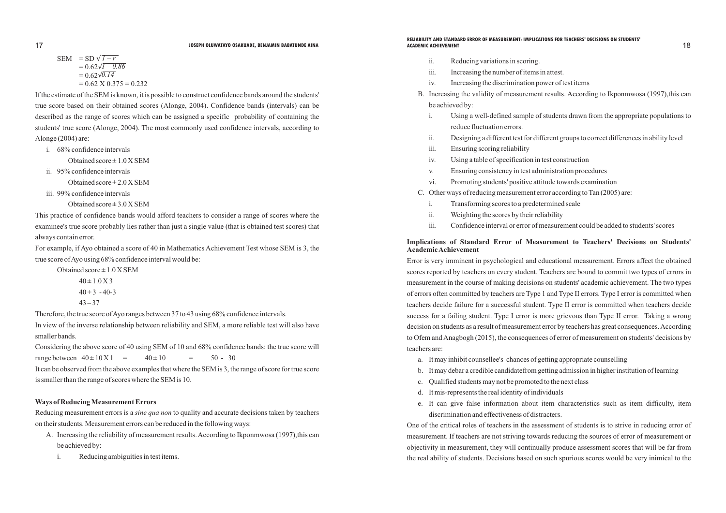i. Using a well-defined sample of students drawn from the appropriate populations to

ii. Designing a different test for different groups to correct differences in ability level

- ii. Reducing variations in scoring.
- iii. Increasing the number of items in attest.
- iv. Increasing the discrimination power of test items
- be achieved by:
	- reduce fluctuation errors.
	-
	- iii. Ensuring scoring reliability
	- iv. Using a table of specification in test construction
	- v. Ensuring consistency in test administration procedures
	- vi. Promoting students' positive attitude towards examination
- C. Other ways of reducing measurement error according to Tan (2005) are:
	- i. Transforming scores to a predetermined scale
	- ii. Weighting the scores by their reliability
	-

iii. Confidence interval or error of measurement could be added to students' scores

## **Implications of Standard Error of Measurement to Teachers' Decisions on Students' Academic Achievement**

### **17 JOSEPH OLUWATAYO OSAKUADE, BENJAMIN BABATUNDE AINA ACADEMIC ACHIEVEMENT ACADEMIC ACHIEVEMENT** 18 **RELIABILITY AND STANDARD ERROR OF MEASUREMENT: IMPLICATIONS FOR TEACHERS' DECISIONS ON STUDENTS' ACADEMIC ACHIEVEMENT**

Error is very imminent in psychological and educational measurement. Errors affect the obtained scores reported by teachers on every student. Teachers are bound to commit two types of errors in measurement in the course of making decisions on students' academic achievement. The two types of errors often committed by teachers are Type 1 and Type II errors. Type I error is committed when teachers decide failure for a successful student. Type II error is committed when teachers decide success for a failing student. Type I error is more grievous than Type II error. Taking a wrong decision on students as a result of measurement error by teachers has great consequences. According to Ofem and Anagbogh (2015), the consequences of error of measurement on students' decisions by teachers are:

- a. It may inhibit counsellee's chances of getting appropriate counselling
- b. It may debar a credible candidatefrom getting admission in higher institution of learning
- c. Qualified students may not be promoted to the next class
- d. It mis-represents the real identity of individuals
- discrimination and effectiveness of distracters.

e. It can give false information about item characteristics such as item difficulty, item

One of the critical roles of teachers in the assessment of students is to strive in reducing error of measurement. If teachers are not striving towards reducing the sources of error of measurement or objectivity in measurement, they will continually produce assessment scores that will be far from the real ability of students. Decisions based on such spurious scores would be very inimical to the

B. Increasing the validity of measurement results. According to Ikponmwosa (1997), this can

If the estimate of the SEM is known, it is possible to construct confidence bands around the students' true score based on their obtained scores (Alonge, 2004). Confidence bands (intervals) can be described as the range of scores which can be assigned a specific probability of containing the students' true score (Alonge, 2004). The most commonly used confidence intervals, according to Alonge (2004) are:

i. 68% confidence intervals

Obtained score  $\pm 1.0$  X SEM

ii. 95% confidence intervals

Obtained  $score \pm 2.0 X SEM$ 

iii. 99% confidence intervals

Obtained score  $\pm 3.0$  X SEM

This practice of confidence bands would afford teachers to consider a range of scores where the examinee's true score probably lies rather than just a single value (that is obtained test scores) that always contain error.

For example, if Ayo obtained a score of 40 in Mathematics Achievement Test whose SEM is 3, the true score of Ayo using 68% confidence interval would be:

Obtained  $score \pm 1.0$  X SEM  $40 \pm 1.0 \text{ X } 3$ 

 $40 + 3 - 40 - 3$ 

SEM = SD 
$$
\overline{1-r}
$$
  
= 0.62  $\overline{1-0.86}$   
= 0.62  $\overline{0.14}$   
= 0.62 X 0.375 = 0.232

$$
43-37
$$

Therefore, the true score of Ayo ranges between 37 to 43 using 68% confidence intervals.

In view of the inverse relationship between reliability and SEM, a more reliable test will also have smaller bands.

Considering the above score of 40 using SEM of 10 and 68% confidence bands: the true score will range between  $40 \pm 10 \text{ X}$  1 =  $40 \pm 10$  = 50 - 30 It can be observed from the above examples that where the SEM is 3, the range of score for true score is smaller than the range of scores where the SEM is 10.

### **Ways of Reducing Measurement Errors**

Reducing measurement errors is a *sine qua non* to quality and accurate decisions taken by teachers on their students. Measurement errors can be reduced in the following ways:

- A. Increasing the reliability of measurement results. According to Ikponmwosa (1997),this can be achieved by:
	- i. Reducing ambiguities in test items.